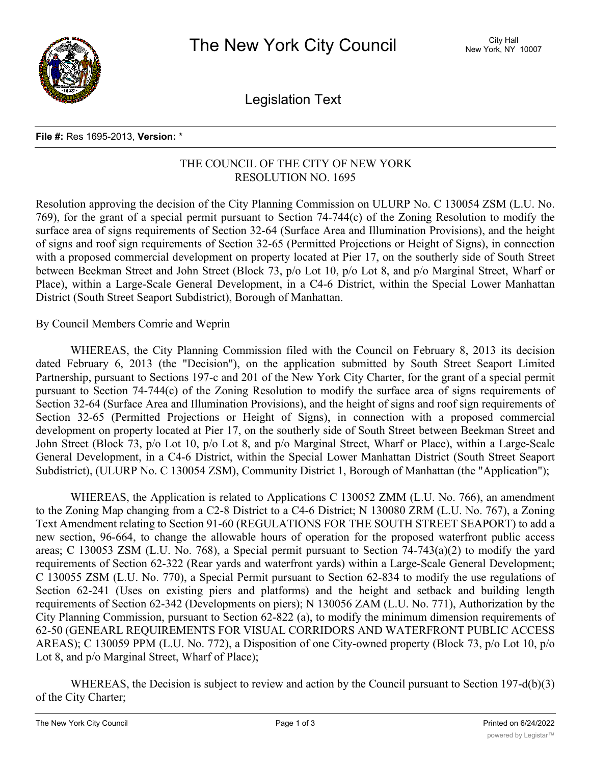

Legislation Text

## **File #:** Res 1695-2013, **Version:** \*

## THE COUNCIL OF THE CITY OF NEW YORK RESOLUTION NO. 1695

Resolution approving the decision of the City Planning Commission on ULURP No. C 130054 ZSM (L.U. No. 769), for the grant of a special permit pursuant to Section 74-744(c) of the Zoning Resolution to modify the surface area of signs requirements of Section 32-64 (Surface Area and Illumination Provisions), and the height of signs and roof sign requirements of Section 32-65 (Permitted Projections or Height of Signs), in connection with a proposed commercial development on property located at Pier 17, on the southerly side of South Street between Beekman Street and John Street (Block 73, p/o Lot 10, p/o Lot 8, and p/o Marginal Street, Wharf or Place), within a Large-Scale General Development, in a C4-6 District, within the Special Lower Manhattan District (South Street Seaport Subdistrict), Borough of Manhattan.

By Council Members Comrie and Weprin

WHEREAS, the City Planning Commission filed with the Council on February 8, 2013 its decision dated February 6, 2013 (the "Decision"), on the application submitted by South Street Seaport Limited Partnership, pursuant to Sections 197-c and 201 of the New York City Charter, for the grant of a special permit pursuant to Section 74-744(c) of the Zoning Resolution to modify the surface area of signs requirements of Section 32-64 (Surface Area and Illumination Provisions), and the height of signs and roof sign requirements of Section 32-65 (Permitted Projections or Height of Signs), in connection with a proposed commercial development on property located at Pier 17, on the southerly side of South Street between Beekman Street and John Street (Block 73, p/o Lot 10, p/o Lot 8, and p/o Marginal Street, Wharf or Place), within a Large-Scale General Development, in a C4-6 District, within the Special Lower Manhattan District (South Street Seaport Subdistrict), (ULURP No. C 130054 ZSM), Community District 1, Borough of Manhattan (the "Application");

WHEREAS, the Application is related to Applications C 130052 ZMM (L.U. No. 766), an amendment to the Zoning Map changing from a C2-8 District to a C4-6 District; N 130080 ZRM (L.U. No. 767), a Zoning Text Amendment relating to Section 91-60 (REGULATIONS FOR THE SOUTH STREET SEAPORT) to add a new section, 96-664, to change the allowable hours of operation for the proposed waterfront public access areas; C 130053 ZSM (L.U. No. 768), a Special permit pursuant to Section 74-743(a)(2) to modify the yard requirements of Section 62-322 (Rear yards and waterfront yards) within a Large-Scale General Development; C 130055 ZSM (L.U. No. 770), a Special Permit pursuant to Section 62-834 to modify the use regulations of Section 62-241 (Uses on existing piers and platforms) and the height and setback and building length requirements of Section 62-342 (Developments on piers); N 130056 ZAM (L.U. No. 771), Authorization by the City Planning Commission, pursuant to Section 62-822 (a), to modify the minimum dimension requirements of 62-50 (GENEARL REQUIREMENTS FOR VISUAL CORRIDORS AND WATERFRONT PUBLIC ACCESS AREAS); C 130059 PPM (L.U. No. 772), a Disposition of one City-owned property (Block 73, p/o Lot 10, p/o Lot 8, and p/o Marginal Street, Wharf of Place);

WHEREAS, the Decision is subject to review and action by the Council pursuant to Section 197-d(b)(3) of the City Charter;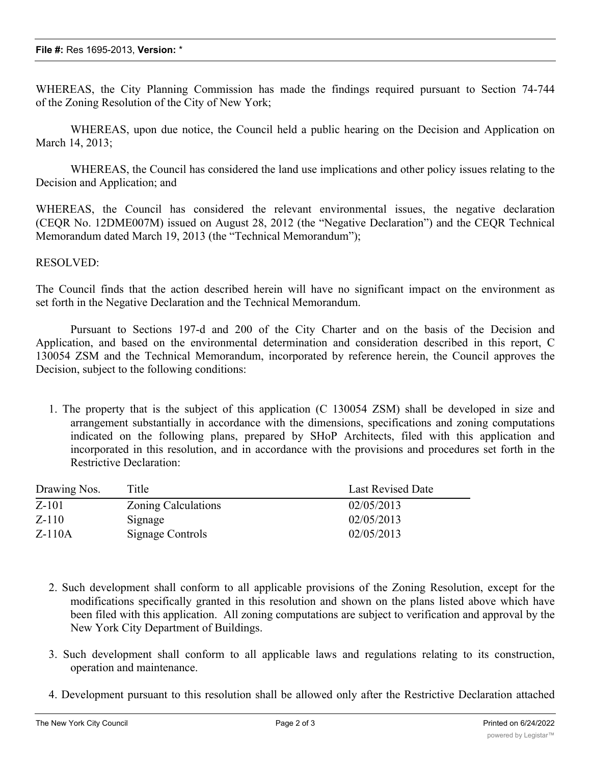WHEREAS, the City Planning Commission has made the findings required pursuant to Section 74-744 of the Zoning Resolution of the City of New York;

WHEREAS, upon due notice, the Council held a public hearing on the Decision and Application on March 14, 2013;

WHEREAS, the Council has considered the land use implications and other policy issues relating to the Decision and Application; and

WHEREAS, the Council has considered the relevant environmental issues, the negative declaration (CEQR No. 12DME007M) issued on August 28, 2012 (the "Negative Declaration") and the CEQR Technical Memorandum dated March 19, 2013 (the "Technical Memorandum");

## RESOLVED:

The Council finds that the action described herein will have no significant impact on the environment as set forth in the Negative Declaration and the Technical Memorandum.

Pursuant to Sections 197-d and 200 of the City Charter and on the basis of the Decision and Application, and based on the environmental determination and consideration described in this report, C 130054 ZSM and the Technical Memorandum, incorporated by reference herein, the Council approves the Decision, subject to the following conditions:

1. The property that is the subject of this application (C 130054 ZSM) shall be developed in size and arrangement substantially in accordance with the dimensions, specifications and zoning computations indicated on the following plans, prepared by SHoP Architects, filed with this application and incorporated in this resolution, and in accordance with the provisions and procedures set forth in the Restrictive Declaration:

| Drawing Nos. | Title                      | <b>Last Revised Date</b> |
|--------------|----------------------------|--------------------------|
| $Z-101$      | <b>Zoning Calculations</b> | 02/05/2013               |
| $Z-110$      | Signage                    | 02/05/2013               |
| $Z-110A$     | Signage Controls           | 02/05/2013               |

- 2. Such development shall conform to all applicable provisions of the Zoning Resolution, except for the modifications specifically granted in this resolution and shown on the plans listed above which have been filed with this application. All zoning computations are subject to verification and approval by the New York City Department of Buildings.
- 3. Such development shall conform to all applicable laws and regulations relating to its construction, operation and maintenance.
- 4. Development pursuant to this resolution shall be allowed only after the Restrictive Declaration attached

as Exhibit A to the City Planning Commission  $\mathbb{R}^n$  and  $\mathbb{R}^n$  and  $\mathbb{R}^n$  and  $\mathbb{R}^n$  and  $\mathbb{R}^n$  and  $\mathbb{R}^n$  and  $\mathbb{R}^n$  and  $\mathbb{R}^n$  and  $\mathbb{R}^n$  and  $\mathbb{R}^n$  and  $\mathbb{R}^n$  and  $\mathbb{R}^n$